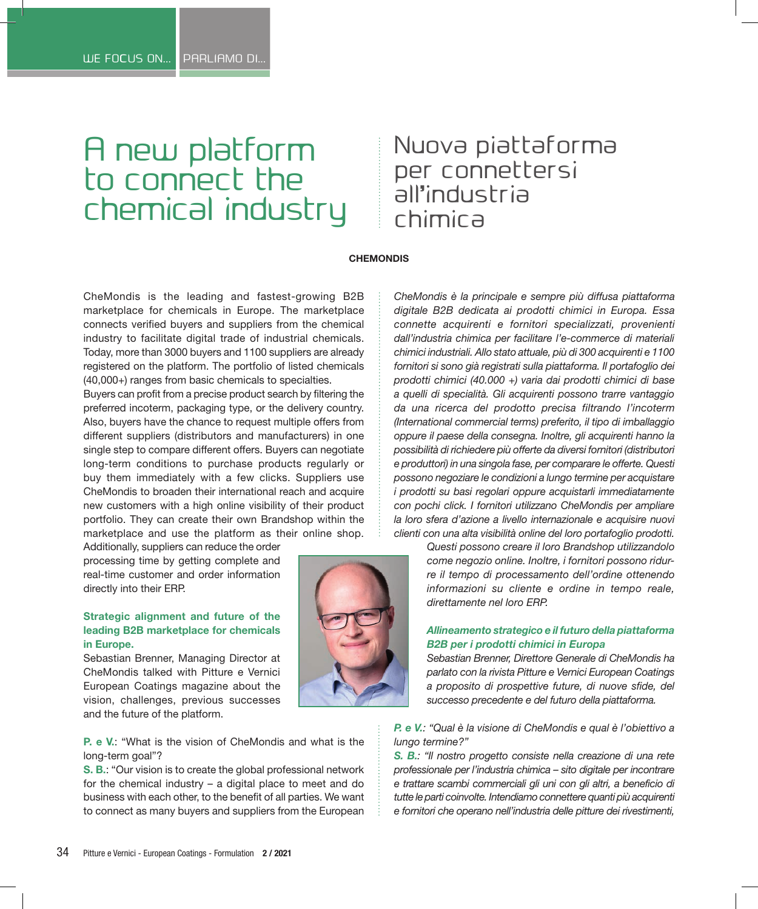# A new platform to connect the chemical industry

## Nuova piattaforma per connettersi all'industria chimica

#### **CHEMONDIS**

CheMondis is the leading and fastest-growing B2B marketplace for chemicals in Europe. The marketplace connects verified buyers and suppliers from the chemical industry to facilitate digital trade of industrial chemicals. Today, more than 3000 buyers and 1100 suppliers are already registered on the platform. The portfolio of listed chemicals (40,000+) ranges from basic chemicals to specialties.

Buyers can profit from a precise product search by filtering the preferred incoterm, packaging type, or the delivery country. Also, buyers have the chance to request multiple offers from different suppliers (distributors and manufacturers) in one single step to compare different offers. Buyers can negotiate long-term conditions to purchase products regularly or buy them immediately with a few clicks. Suppliers use CheMondis to broaden their international reach and acquire new customers with a high online visibility of their product portfolio. They can create their own Brandshop within the marketplace and use the platform as their online shop.

Additionally, suppliers can reduce the order processing time by getting complete and real-time customer and order information directly into their ERP.

#### **Strategic alignment and future of the leading B2B marketplace for chemicals in Europe.**

Sebastian Brenner, Managing Director at CheMondis talked with Pitture e Vernici European Coatings magazine about the vision, challenges, previous successes and the future of the platform.

### **P. e V.**: "What is the vision of CheMondis and what is the long-term goal"?

**S. B.**: "Our vision is to create the global professional network for the chemical industry – a digital place to meet and do business with each other, to the benefit of all parties. We want to connect as many buyers and suppliers from the European



*CheMondis è la principale e sempre più diffusa piattaforma digitale B2B dedicata ai prodotti chimici in Europa. Essa connette acquirenti e fornitori specializzati, provenienti dall'industria chimica per facilitare l'e-commerce di materiali chimici industriali. Allo stato attuale, più di 300 acquirenti e 1100 fornitori si sono già registrati sulla piattaforma. Il portafoglio dei prodotti chimici (40.000 +) varia dai prodotti chimici di base a quelli di specialità. Gli acquirenti possono trarre vantaggio da una ricerca del prodotto precisa filtrando l'incoterm (International commercial terms) preferito, il tipo di imballaggio oppure il paese della consegna. Inoltre, gli acquirenti hanno la possibilità di richiedere più offerte da diversi fornitori (distributori e produttori) in una singola fase, per comparare le offerte. Questi possono negoziare le condizioni a lungo termine per acquistare i prodotti su basi regolari oppure acquistarli immediatamente con pochi click. I fornitori utilizzano CheMondis per ampliare la loro sfera d'azione a livello internazionale e acquisire nuovi clienti con una alta visibilità online del loro portafoglio prodotti.*

> *Questi possono creare il loro Brandshop utilizzandolo come negozio online. Inoltre, i fornitori possono ridurre il tempo di processamento dell'ordine ottenendo informazioni su cliente e ordine in tempo reale, direttamente nel loro ERP.*

#### *Allineamento strategico e il futuro della piattaforma B2B per i prodotti chimici in Europa*

*Sebastian Brenner, Direttore Generale di CheMondis ha parlato con la rivista Pitture e Vernici European Coatings a proposito di prospettive future, di nuove sfide, del successo precedente e del futuro della piattaforma.*

*P. e V.: "Qual è la visione di CheMondis e qual è l'obiettivo a lungo termine?"*

*S. B.: "Il nostro progetto consiste nella creazione di una rete professionale per l'industria chimica – sito digitale per incontrare e trattare scambi commerciali gli uni con gli altri, a beneficio di tutte le parti coinvolte. Intendiamo connettere quanti più acquirenti e fornitori che operano nell'industria delle pitture dei rivestimenti,*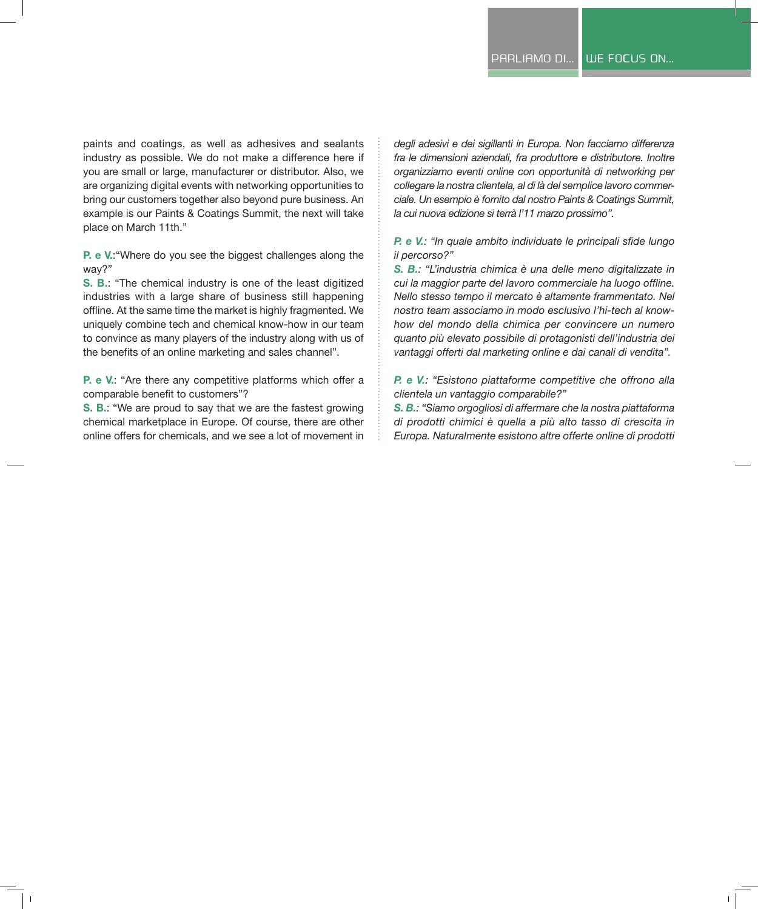paints and coatings, as well as adhesives and sealants industry as possible. We do not make a difference here if you are small or large, manufacturer or distributor. Also, we are organizing digital events with networking opportunities to bring our customers together also beyond pure business. An example is our Paints & Coatings Summit, the next will take place on March 11th."

**P. e V.**:"Where do you see the biggest challenges along the way?"

**S. B.**: "The chemical industry is one of the least digitized industries with a large share of business still happening offline. At the same time the market is highly fragmented. We uniquely combine tech and chemical know-how in our team to convince as many players of the industry along with us of the benefits of an online marketing and sales channel".

**P. e V.**: "Are there any competitive platforms which offer a comparable benefit to customers"?

**S. B.**: "We are proud to say that we are the fastest growing chemical marketplace in Europe. Of course, there are other online offers for chemicals, and we see a lot of movement in *degli adesivi e dei sigillanti in Europa. Non facciamo differenza fra le dimensioni aziendali, fra produttore e distributore. Inoltre organizziamo eventi online con opportunità di networking per collegare la nostra clientela, al di là del semplice lavoro commerciale. Un esempio è fornito dal nostro Paints & Coatings Summit, la cui nuova edizione si terrà l'11 marzo prossimo".*

*P. e V.: "In quale ambito individuate le principali sfide lungo il percorso?"*

*S. B.: "L'industria chimica è una delle meno digitalizzate in cui la maggior parte del lavoro commerciale ha luogo offline. Nello stesso tempo il mercato è altamente frammentato. Nel nostro team associamo in modo esclusivo l'hi-tech al knowhow del mondo della chimica per convincere un numero quanto più elevato possibile di protagonisti dell'industria dei vantaggi offerti dal marketing online e dai canali di vendita".*

*P. e V.: "Esistono piattaforme competitive che offrono alla clientela un vantaggio comparabile?"*

*S. B.: "Siamo orgogliosi di affermare che la nostra piattaforma di prodotti chimici è quella a più alto tasso di crescita in Europa. Naturalmente esistono altre offerte online di prodotti*